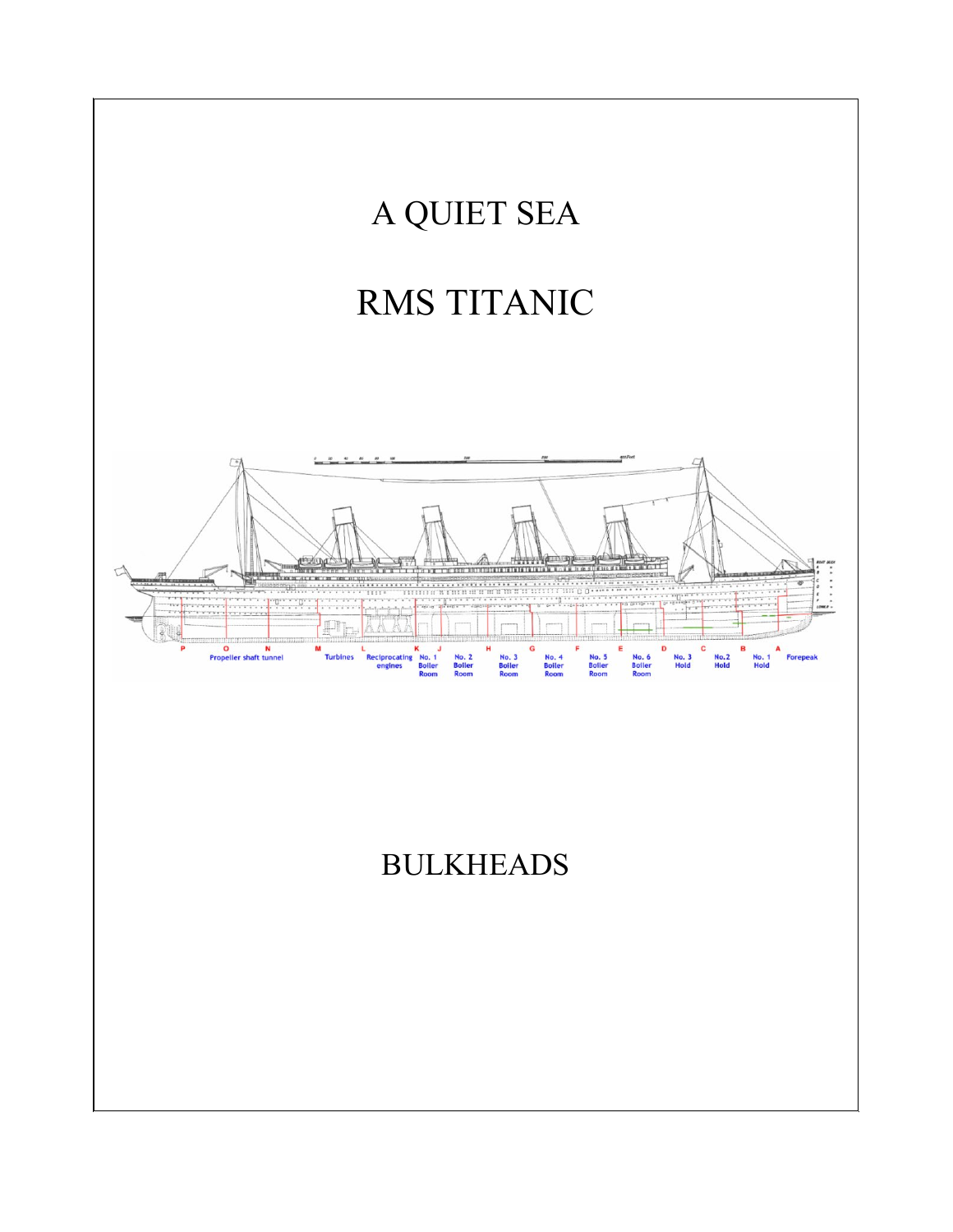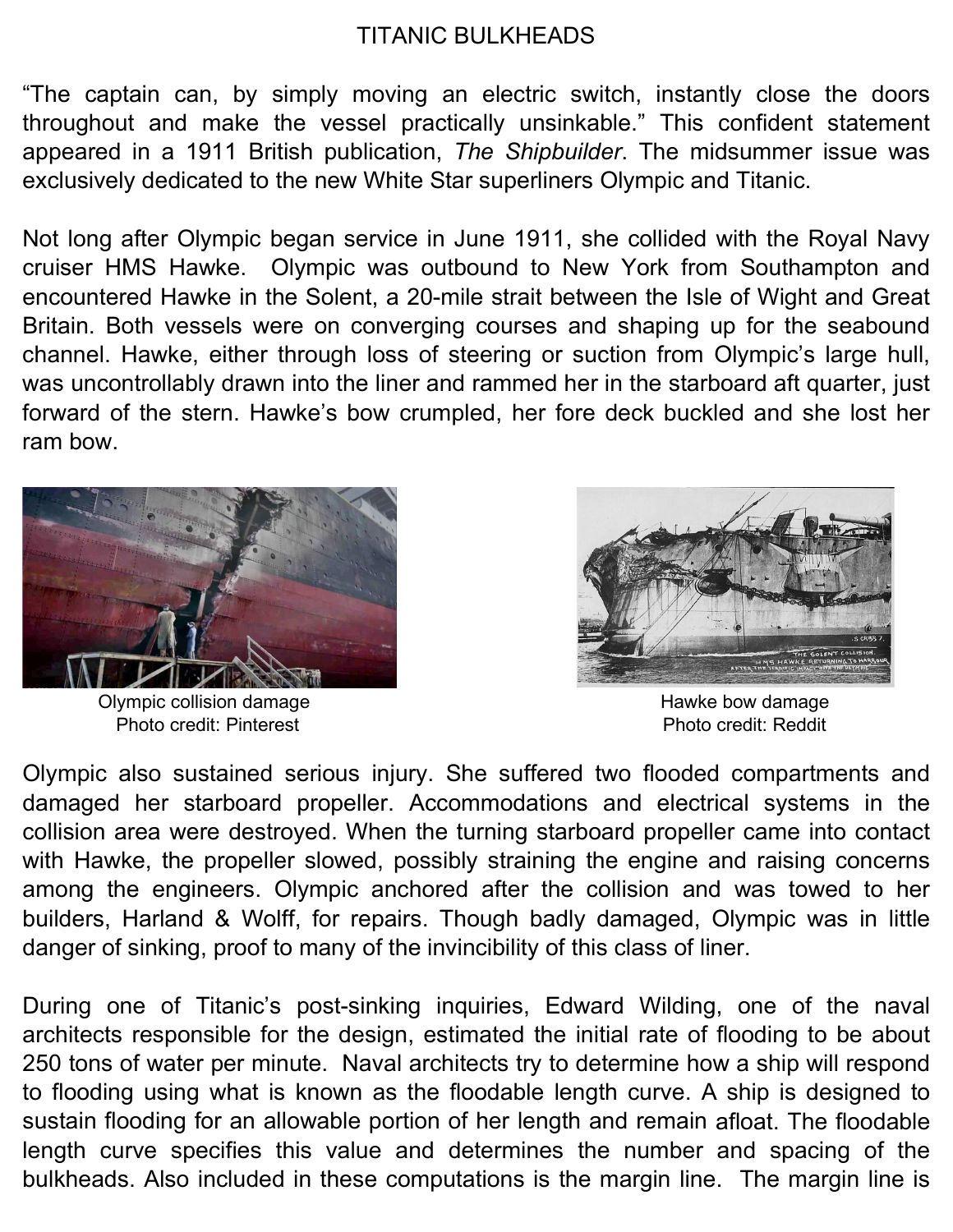## TITANIC BULKHEADS

"The captain can, by simply moving an electric switch, instantly close the doors throughout and make the vessel practically unsinkable." This confident statement appeared in a 1911 British publication, *The Shipbuilder*. The midsummer issue was exclusively dedicated to the new White Star superliners Olympic and Titanic.

Not long after Olympic began service in June 1911, she collided with the Royal Navy cruiser HMS Hawke. Olympic was outbound to New York from Southampton and encountered Hawke in the Solent, a 20-mile strait between the Isle of Wight and Great Britain. Both vessels were on converging courses and shaping up for the seabound channel. Hawke, either through loss of steering or suction from Olympic's large hull, was uncontrollably drawn into the liner and rammed her in the starboard aft quarter, just forward of the stern. Hawke's bow crumpled, her fore deck buckled and she lost her ram bow.



Olympic collision damage example and the Hawke bow damage Photo credit: Pinterest **Photo** credit: Reddit

![](_page_1_Picture_5.jpeg)

Olympic also sustained serious injury. She suffered two flooded compartments and damaged her starboard propeller. Accommodations and electrical systems in the collision area were destroyed. When the turning starboard propeller came into contact with Hawke, the propeller slowed, possibly straining the engine and raising concerns among the engineers. Olympic anchored after the collision and was towed to her builders, Harland & Wolff, for repairs. Though badly damaged, Olympic was in little danger of sinking, proof to many of the invincibility of this class of liner.

During one of Titanic's post-sinking inquiries, Edward Wilding, one of the naval architects responsible for the design, estimated the initial rate of flooding to be about 250 tons of water per minute. Naval architects try to determine how a ship will respond to flooding using what is known as the floodable length curve. A ship is designed to sustain flooding for an allowable portion of her length and remain afloat. The floodable length curve specifies this value and determines the number and spacing of the bulkheads. Also included in these computations is the margin line. The margin line is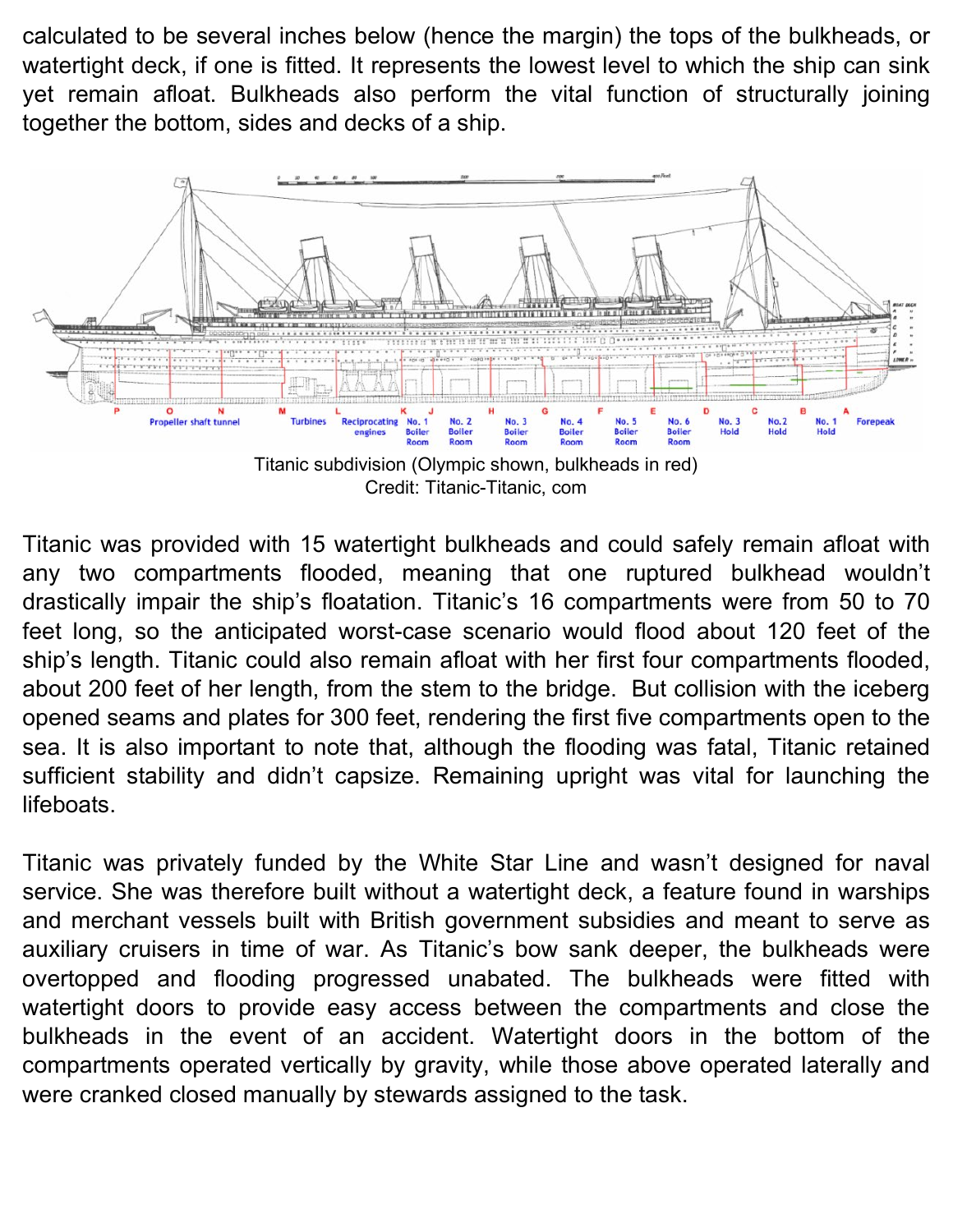calculated to be several inches below (hence the margin) the tops of the bulkheads, or watertight deck, if one is fitted. It represents the lowest level to which the ship can sink yet remain afloat. Bulkheads also perform the vital function of structurally joining together the bottom, sides and decks of a ship.

![](_page_2_Figure_1.jpeg)

Credit: Titanic-Titanic, com

Titanic was provided with 15 watertight bulkheads and could safely remain afloat with any two compartments flooded, meaning that one ruptured bulkhead wouldn't drastically impair the ship's floatation. Titanic's 16 compartments were from 50 to 70 feet long, so the anticipated worst-case scenario would flood about 120 feet of the ship's length. Titanic could also remain afloat with her first four compartments flooded, about 200 feet of her length, from the stem to the bridge. But collision with the iceberg opened seams and plates for 300 feet, rendering the first five compartments open to the sea. It is also important to note that, although the flooding was fatal, Titanic retained sufficient stability and didn't capsize. Remaining upright was vital for launching the lifeboats.

Titanic was privately funded by the White Star Line and wasn't designed for naval service. She was therefore built without a watertight deck, a feature found in warships and merchant vessels built with British government subsidies and meant to serve as auxiliary cruisers in time of war. As Titanic's bow sank deeper, the bulkheads were overtopped and flooding progressed unabated. The bulkheads were fitted with watertight doors to provide easy access between the compartments and close the bulkheads in the event of an accident. Watertight doors in the bottom of the compartments operated vertically by gravity, while those above operated laterally and were cranked closed manually by stewards assigned to the task.